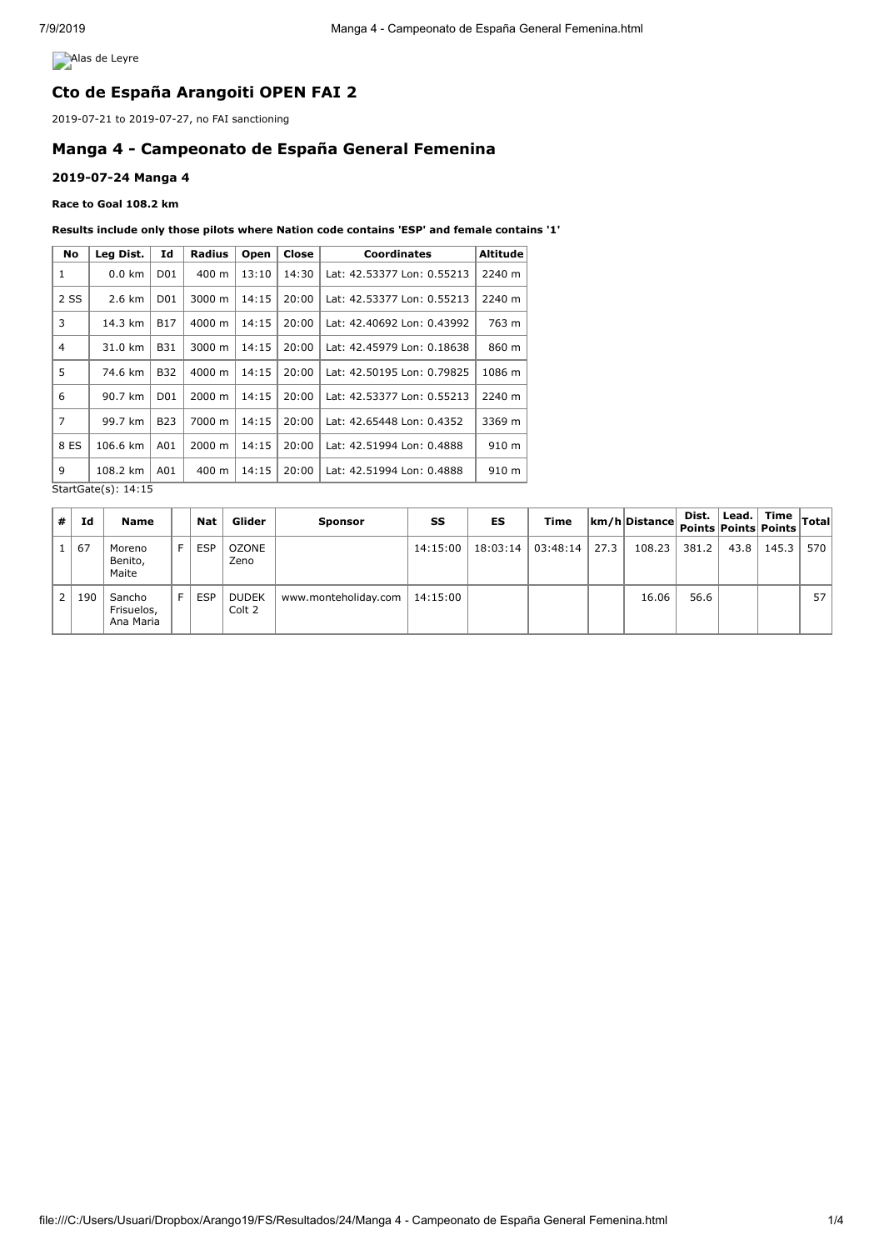**Alas de Leyre** 

# **Cto de España Arangoiti OPEN FAI 2**

2019-07-21 to 2019-07-27, no FAI sanctioning

# **Manga 4 - Campeonato de España General Femenina**

### **2019-07-24 Manga 4**

#### **Race to Goal 108.2 km**

#### **Results include only those pilots where Nation code contains 'ESP' and female contains '1'**

| No   | Leg Dist.        | Id              | <b>Radius</b> | Open  | Close | <b>Coordinates</b>         | <b>Altitude</b> |
|------|------------------|-----------------|---------------|-------|-------|----------------------------|-----------------|
| 1    | $0.0 \text{ km}$ | D01             | 400 m         | 13:10 | 14:30 | Lat: 42.53377 Lon: 0.55213 | 2240 m          |
| 2 SS | 2.6 km           | D01             | 3000 m        | 14:15 | 20:00 | Lat: 42.53377 Lon: 0.55213 | 2240 m          |
| 3    | 14.3 km          | <b>B17</b>      | 4000 m        | 14:15 | 20:00 | Lat: 42.40692 Lon: 0.43992 | 763 m           |
| 4    | 31.0 km          | B31             | 3000 m        | 14:15 | 20:00 | Lat: 42.45979 Lon: 0.18638 | 860 m           |
| 5    | 74.6 km          | <b>B32</b>      | 4000 m        | 14:15 | 20:00 | Lat: 42.50195 Lon: 0.79825 | 1086 m          |
| 6    | 90.7 km          | D <sub>01</sub> | 2000 m        | 14:15 | 20:00 | Lat: 42.53377 Lon: 0.55213 | 2240 m          |
| 7    | 99.7 km          | <b>B23</b>      | 7000 m        | 14:15 | 20:00 | Lat: 42.65448 Lon: 0.4352  | 3369 m          |
| 8 ES | 106.6 km         | A01             | 2000 m        | 14:15 | 20:00 | Lat: 42.51994 Lon: 0.4888  | 910 m           |
| 9    | 108.2 km         | A01             | 400 m         | 14:15 | 20:00 | Lat: 42.51994 Lon: 0.4888  | 910 m           |

StartGate(s): 14:15

| 1# I  | Ιd  | <b>Name</b>                       |   | <b>Nat</b> | Glider                 | <b>Sponsor</b>       | SS       | ES       | Time     |      | $ km/h $ Distance | Dist. | Lead. | Time <sub>Tota</sub> ,<br>Points Points Points |     |
|-------|-----|-----------------------------------|---|------------|------------------------|----------------------|----------|----------|----------|------|-------------------|-------|-------|------------------------------------------------|-----|
|       | 67  | Moreno<br>Benito,<br>Maite        |   | <b>ESP</b> | OZONE<br>Zeno          |                      | 14:15:00 | 18:03:14 | 03:48:14 | 27.3 | 108.23            | 381.2 | 43.8  | 145.3                                          | 570 |
| l 2 l | 190 | Sancho<br>Frisuelos,<br>Ana Maria | F | <b>ESP</b> | <b>DUDEK</b><br>Colt 2 | www.monteholiday.com | 14:15:00 |          |          |      | 16.06             | 56.6  |       |                                                | 57  |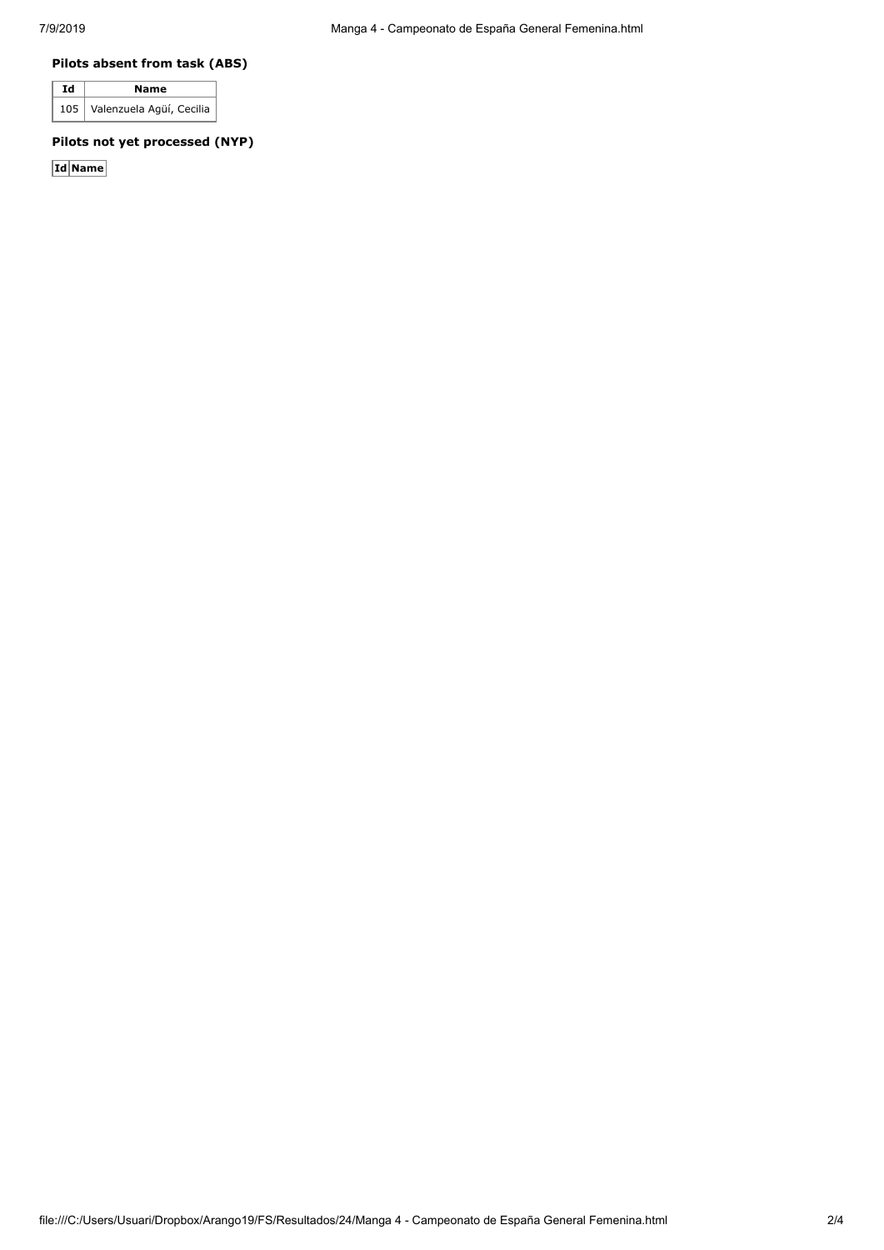### **Pilots absent from task (ABS)**

| Id | Name                           |  |  |  |  |
|----|--------------------------------|--|--|--|--|
|    | 105   Valenzuela Agüí, Cecilia |  |  |  |  |

## **Pilots not yet processed (NYP)**

**Id Name**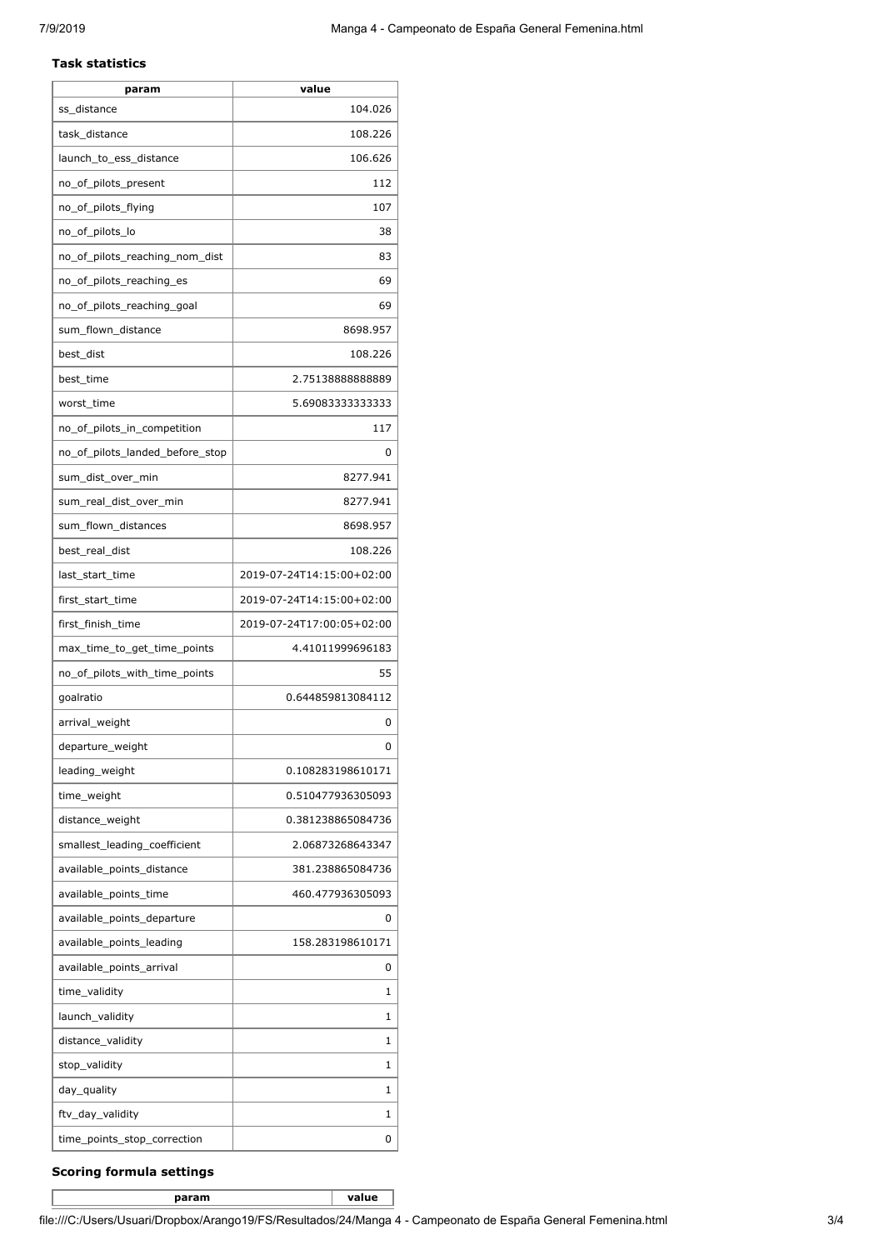#### **Task statistics**

| param                           | value                     |
|---------------------------------|---------------------------|
| ss distance                     | 104.026                   |
| task_distance                   | 108.226                   |
| launch_to_ess_distance          | 106.626                   |
| no_of_pilots_present            | 112                       |
| no_of_pilots_flying             | 107                       |
| no_of_pilots_lo                 | 38                        |
| no_of_pilots_reaching_nom_dist  | 83                        |
| no_of_pilots_reaching_es        | 69                        |
| no_of_pilots_reaching_goal      | 69                        |
| sum_flown_distance              | 8698.957                  |
| best_dist                       | 108.226                   |
| best_time                       | 2.7513888888889           |
| worst_time                      | 5.69083333333333          |
| no_of_pilots_in_competition     | 117                       |
| no of pilots landed before stop | 0                         |
| sum_dist_over_min               | 8277.941                  |
| sum_real_dist_over_min          | 8277.941                  |
| sum_flown_distances             | 8698.957                  |
| best_real_dist                  | 108.226                   |
| last_start_time                 | 2019-07-24T14:15:00+02:00 |
| first_start_time                | 2019-07-24T14:15:00+02:00 |
| first_finish_time               | 2019-07-24T17:00:05+02:00 |
| max_time_to_get_time_points     | 4.41011999696183          |
| no_of_pilots_with_time_points   | 55                        |
| goalratio                       | 0.644859813084112         |
| arrival_weight                  | 0                         |
| departure_weight                | 0                         |
| leading_weight                  | 0.108283198610171         |
| time_weight                     | 0.510477936305093         |
| distance_weight                 | 0.381238865084736         |
| smallest leading coefficient    | 2.06873268643347          |
| available_points_distance       | 381.238865084736          |
| available_points_time           | 460.477936305093          |
| available_points_departure      | 0                         |
| available_points_leading        | 158.283198610171          |
| available_points_arrival        | 0                         |
| time_validity                   | 1                         |
| launch_validity                 | 1                         |
| distance_validity               | 1                         |
| stop_validity                   | 1                         |
| day_quality                     | 1                         |
| ftv_day_validity                | 1                         |
| time_points_stop_correction     | 0                         |

## **Scoring formula settings**

**param value**